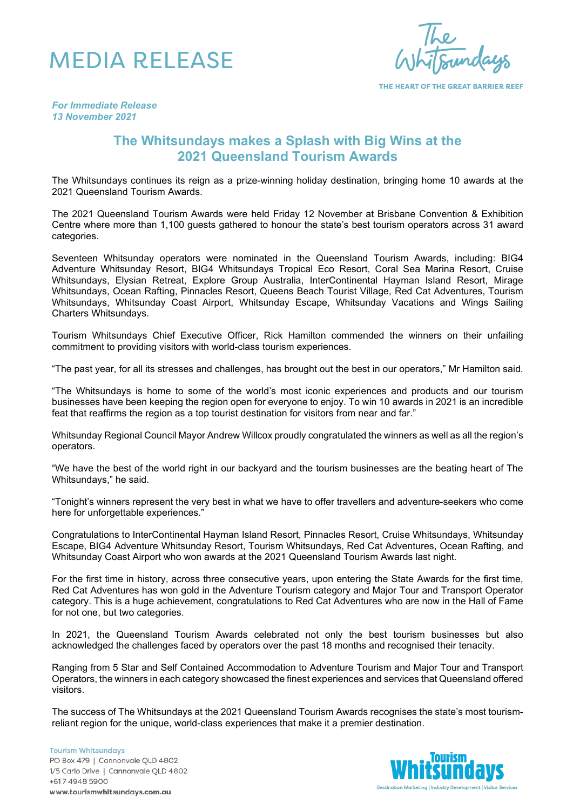

THE HEART OF THE GREAT BARRIER REEF

*For Immediate Release 13 November 2021*

# **The Whitsundays makes a Splash with Big Wins at the 2021 Queensland Tourism Awards**

The Whitsundays continues its reign as a prize-winning holiday destination, bringing home 10 awards at the 2021 Queensland Tourism Awards.

The 2021 Queensland Tourism Awards were held Friday 12 November at Brisbane Convention & Exhibition Centre where more than 1,100 guests gathered to honour the state's best tourism operators across 31 award categories.

Seventeen Whitsunday operators were nominated in the Queensland Tourism Awards, including: BIG4 Adventure Whitsunday Resort, BIG4 Whitsundays Tropical Eco Resort, Coral Sea Marina Resort, Cruise Whitsundays, Elysian Retreat, Explore Group Australia, InterContinental Hayman Island Resort, Mirage Whitsundays, Ocean Rafting, Pinnacles Resort, Queens Beach Tourist Village, Red Cat Adventures, Tourism Whitsundays, Whitsunday Coast Airport, Whitsunday Escape, Whitsunday Vacations and Wings Sailing Charters Whitsundays.

Tourism Whitsundays Chief Executive Officer, Rick Hamilton commended the winners on their unfailing commitment to providing visitors with world-class tourism experiences.

"The past year, for all its stresses and challenges, has brought out the best in our operators," Mr Hamilton said.

"The Whitsundays is home to some of the world's most iconic experiences and products and our tourism businesses have been keeping the region open for everyone to enjoy. To win 10 awards in 2021 is an incredible feat that reaffirms the region as a top tourist destination for visitors from near and far."

Whitsunday Regional Council Mayor Andrew Willcox proudly congratulated the winners as well as all the region's operators.

"We have the best of the world right in our backyard and the tourism businesses are the beating heart of The Whitsundays," he said.

"Tonight's winners represent the very best in what we have to offer travellers and adventure-seekers who come here for unforgettable experiences."

Congratulations to InterContinental Hayman Island Resort, Pinnacles Resort, Cruise Whitsundays, Whitsunday Escape, BIG4 Adventure Whitsunday Resort, Tourism Whitsundays, Red Cat Adventures, Ocean Rafting, and Whitsunday Coast Airport who won awards at the 2021 Queensland Tourism Awards last night.

For the first time in history, across three consecutive years, upon entering the State Awards for the first time, Red Cat Adventures has won gold in the Adventure Tourism category and Major Tour and Transport Operator category. This is a huge achievement, congratulations to Red Cat Adventures who are now in the Hall of Fame for not one, but two categories.

In 2021, the Queensland Tourism Awards celebrated not only the best tourism businesses but also acknowledged the challenges faced by operators over the past 18 months and recognised their tenacity.

Ranging from 5 Star and Self Contained Accommodation to Adventure Tourism and Major Tour and Transport Operators, the winners in each category showcased the finest experiences and services that Queensland offered visitors.

The success of The Whitsundays at the 2021 Queensland Tourism Awards recognises the state's most tourismreliant region for the unique, world-class experiences that make it a premier destination.

**Tourism Whitsundays** PO Box 479 | Cannonvale QLD 4802 1/5 Carlo Drive | Cannonvale QLD 4802 +617 4948 5900 www.tourismwhitsundays.com.au